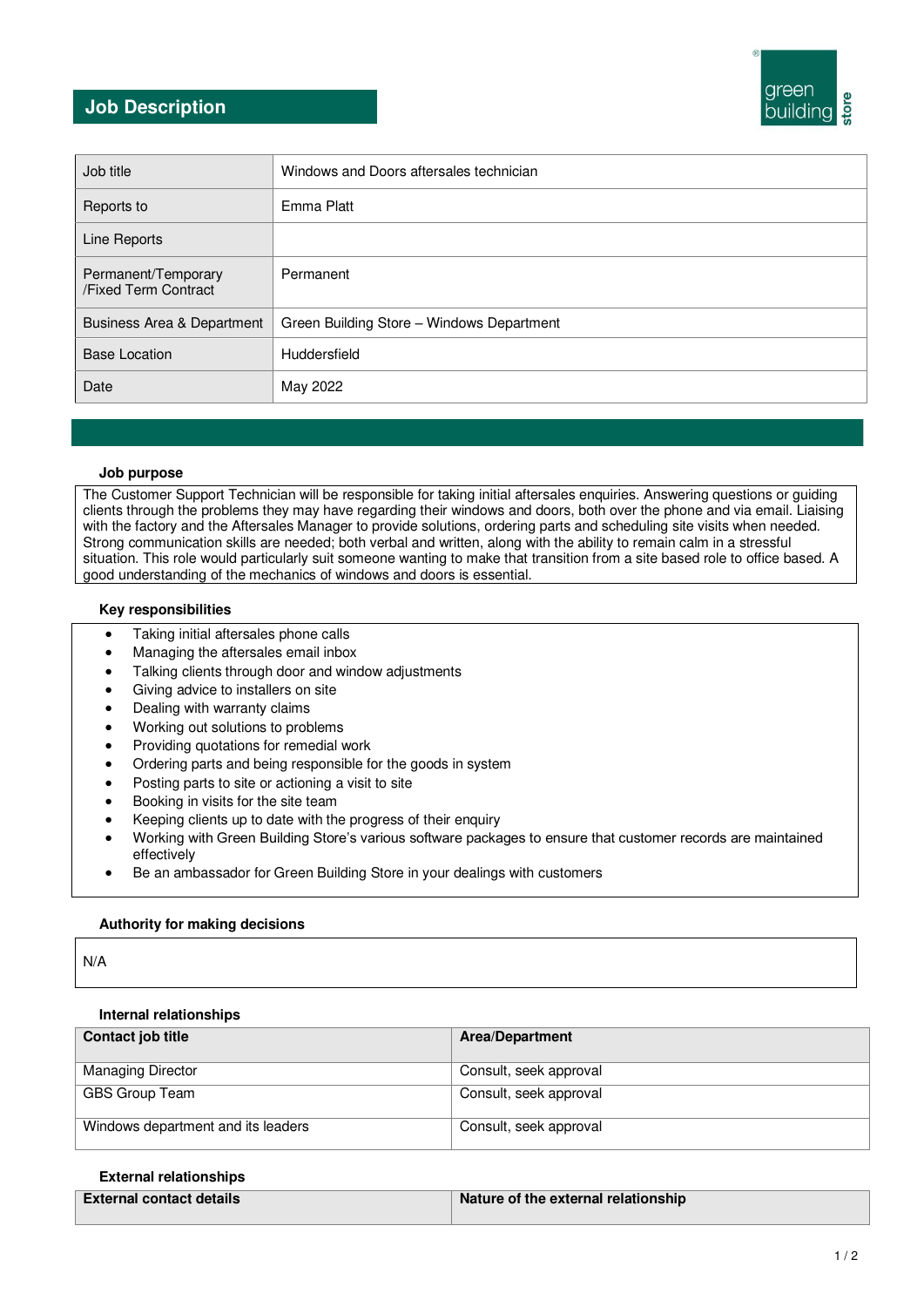## **Job Description**



| Job title                                   | Windows and Doors aftersales technician   |
|---------------------------------------------|-------------------------------------------|
| Reports to                                  | Emma Platt                                |
| Line Reports                                |                                           |
| Permanent/Temporary<br>/Fixed Term Contract | Permanent                                 |
| Business Area & Department                  | Green Building Store - Windows Department |
| <b>Base Location</b>                        | Huddersfield                              |
| Date                                        | May 2022                                  |

### **Job purpose**

The Customer Support Technician will be responsible for taking initial aftersales enquiries. Answering questions or guiding clients through the problems they may have regarding their windows and doors, both over the phone and via email. Liaising with the factory and the Aftersales Manager to provide solutions, ordering parts and scheduling site visits when needed. Strong communication skills are needed; both verbal and written, along with the ability to remain calm in a stressful situation. This role would particularly suit someone wanting to make that transition from a site based role to office based. A good understanding of the mechanics of windows and doors is essential.

### **Key responsibilities**

- Taking initial aftersales phone calls
- Managing the aftersales email inbox
- Talking clients through door and window adjustments
- Giving advice to installers on site
- Dealing with warranty claims
- Working out solutions to problems
- Providing quotations for remedial work
- Ordering parts and being responsible for the goods in system
- Posting parts to site or actioning a visit to site
- Booking in visits for the site team
- Keeping clients up to date with the progress of their enquiry
- Working with Green Building Store's various software packages to ensure that customer records are maintained effectively
- Be an ambassador for Green Building Store in your dealings with customers

## **Authority for making decisions**

N/A

## **Internal relationships**

| Contact job title                  | <b>Area/Department</b> |
|------------------------------------|------------------------|
| <b>Managing Director</b>           | Consult, seek approval |
| GBS Group Team                     | Consult, seek approval |
| Windows department and its leaders | Consult, seek approval |

#### **External relationships**

| External contact details | Nature of the external relationship |
|--------------------------|-------------------------------------|
|                          |                                     |